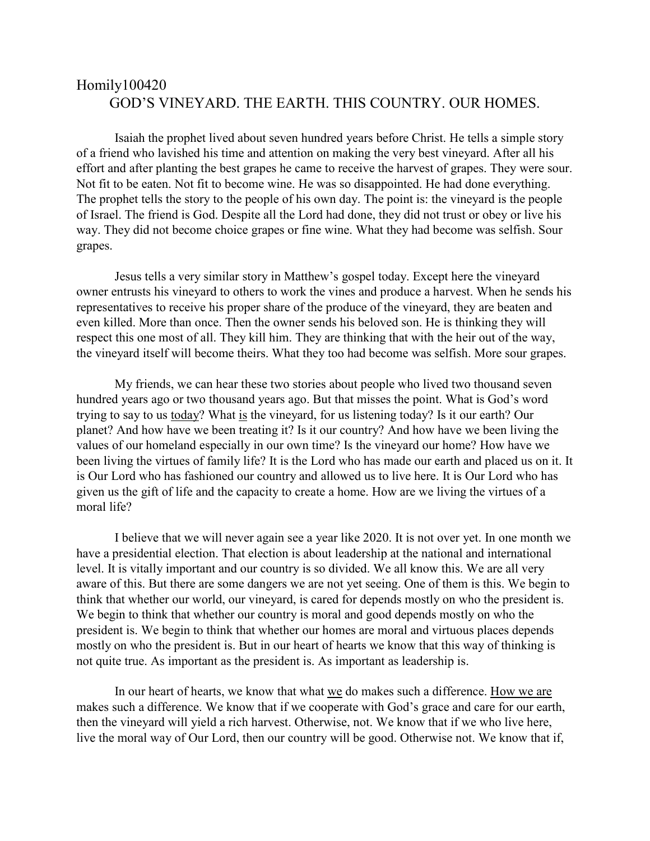## Homily100420 GOD'S VINEYARD. THE EARTH. THIS COUNTRY. OUR HOMES.

Isaiah the prophet lived about seven hundred years before Christ. He tells a simple story of a friend who lavished his time and attention on making the very best vineyard. After all his effort and after planting the best grapes he came to receive the harvest of grapes. They were sour. Not fit to be eaten. Not fit to become wine. He was so disappointed. He had done everything. The prophet tells the story to the people of his own day. The point is: the vineyard is the people of Israel. The friend is God. Despite all the Lord had done, they did not trust or obey or live his way. They did not become choice grapes or fine wine. What they had become was selfish. Sour grapes.

Jesus tells a very similar story in Matthew's gospel today. Except here the vineyard owner entrusts his vineyard to others to work the vines and produce a harvest. When he sends his representatives to receive his proper share of the produce of the vineyard, they are beaten and even killed. More than once. Then the owner sends his beloved son. He is thinking they will respect this one most of all. They kill him. They are thinking that with the heir out of the way, the vineyard itself will become theirs. What they too had become was selfish. More sour grapes.

My friends, we can hear these two stories about people who lived two thousand seven hundred years ago or two thousand years ago. But that misses the point. What is God's word trying to say to us today? What is the vineyard, for us listening today? Is it our earth? Our planet? And how have we been treating it? Is it our country? And how have we been living the values of our homeland especially in our own time? Is the vineyard our home? How have we been living the virtues of family life? It is the Lord who has made our earth and placed us on it. It is Our Lord who has fashioned our country and allowed us to live here. It is Our Lord who has given us the gift of life and the capacity to create a home. How are we living the virtues of a moral life?

I believe that we will never again see a year like 2020. It is not over yet. In one month we have a presidential election. That election is about leadership at the national and international level. It is vitally important and our country is so divided. We all know this. We are all very aware of this. But there are some dangers we are not yet seeing. One of them is this. We begin to think that whether our world, our vineyard, is cared for depends mostly on who the president is. We begin to think that whether our country is moral and good depends mostly on who the president is. We begin to think that whether our homes are moral and virtuous places depends mostly on who the president is. But in our heart of hearts we know that this way of thinking is not quite true. As important as the president is. As important as leadership is.

In our heart of hearts, we know that what we do makes such a difference. How we are makes such a difference. We know that if we cooperate with God's grace and care for our earth, then the vineyard will yield a rich harvest. Otherwise, not. We know that if we who live here, live the moral way of Our Lord, then our country will be good. Otherwise not. We know that if,